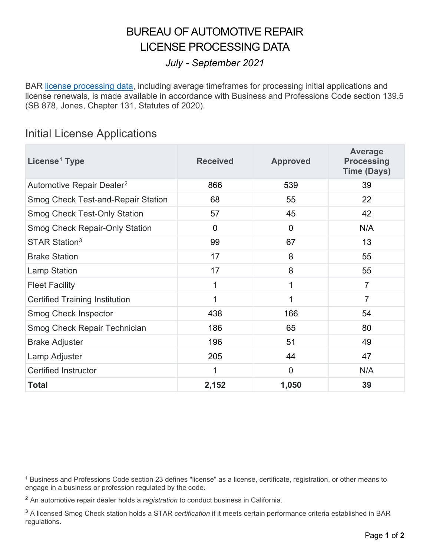### BUREAU OF AUTOMOTIVE REPAIR LICENSE PROCESSING DATA

#### *July - September 2021*

BAR [license processing data,](https://www.bar.ca.gov/License_Processing_Data) including average timeframes for processing initial applications and license renewals, is made available in accordance with Business and Professions Code section 139.5 (SB 878, Jones, Chapter 131, Statutes of 2020).

#### Initial License Applications

| License <sup>1</sup> Type                 | <b>Received</b> | <b>Approved</b> | Average<br><b>Processing</b><br><b>Time (Days)</b> |
|-------------------------------------------|-----------------|-----------------|----------------------------------------------------|
| Automotive Repair Dealer <sup>2</sup>     | 866             | 539             | 39                                                 |
| <b>Smog Check Test-and-Repair Station</b> | 68              | 55              | 22                                                 |
| <b>Smog Check Test-Only Station</b>       | 57              | 45              | 42                                                 |
| <b>Smog Check Repair-Only Station</b>     | $\Omega$        | $\overline{0}$  | N/A                                                |
| STAR Station <sup>3</sup>                 | 99              | 67              | 13                                                 |
| <b>Brake Station</b>                      | 17              | 8               | 55                                                 |
| <b>Lamp Station</b>                       | 17              | 8               | 55                                                 |
| <b>Fleet Facility</b>                     | 1               | $\mathbf{1}$    | $\overline{7}$                                     |
| <b>Certified Training Institution</b>     | 1               | 1               | $\overline{7}$                                     |
| Smog Check Inspector                      | 438             | 166             | 54                                                 |
| Smog Check Repair Technician              | 186             | 65              | 80                                                 |
| <b>Brake Adjuster</b>                     | 196             | 51              | 49                                                 |
| Lamp Adjuster                             | 205             | 44              | 47                                                 |
| <b>Certified Instructor</b>               | 1               | $\overline{0}$  | N/A                                                |
| <b>Total</b>                              | 2,152           | 1,050           | 39                                                 |

<span id="page-0-0"></span> 1 Business and Professions Code section 23 defines "license" as a license, certificate, registration, or other means to engage in a business or profession regulated by the code.

<span id="page-0-1"></span> 2 An automotive repair dealer holds a *registration* to conduct business in California.

<span id="page-0-2"></span><sup>3</sup> A licensed Smog Check station holds a STAR *certification* if it meets certain performance criteria established in BAR regulations.